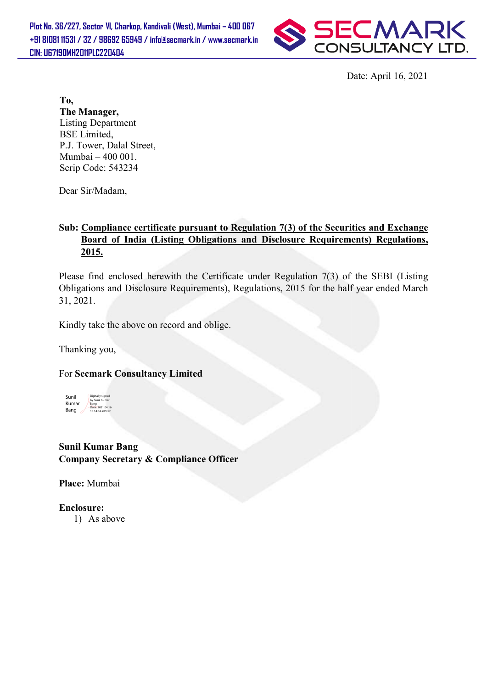

Date: Date: April 16, 2021

To, The Manager, Listing Department BSE Limited, P.J. Tower, Dalal Street, Mumbai – 400 001. Scrip Code: 543234

Dear Sir/Madam,

# Sub: Compliance certificate pursuant to Regulation 7(3) of the Securities and Exchange Board of India (Listing Obligations and Disclosure Requirements) Regulations, 2015.

Please find enclosed herewith the Certificate under Regulation 7(3) of the SEBI (Listing Obligations and Disclosure Requirements), Regulations, 2015 for the half year ended March 31, 2021.

Kindly take the above on record and oblige.

Thanking you,

### For Secmark Consultancy Limited



### Sunil Kumar Bang Company Secretary & Compliance Officer

Place: Mumbai

Enclosure:

1) As above